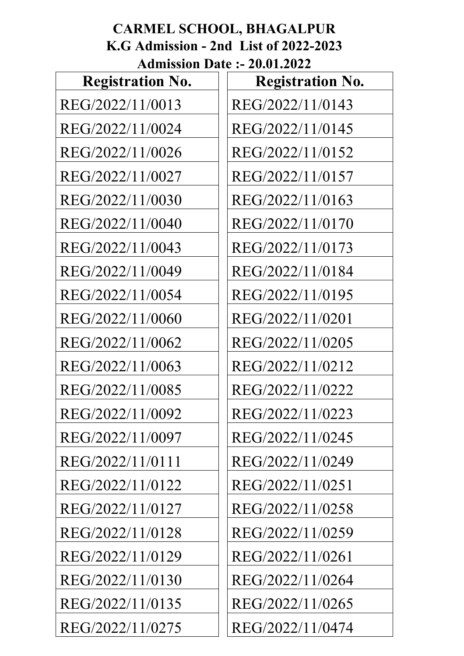#### **CARMEL SCHOOL, BHAGALPUR K.G Admission - 2nd List of 2022-2023 Admission Date :- 20.01.2022**

| <b>Registration No.</b> | <b>Registration No.</b> |
|-------------------------|-------------------------|
| REG/2022/11/0013        | REG/2022/11/0143        |
| REG/2022/11/0024        | REG/2022/11/0145        |
| REG/2022/11/0026        | REG/2022/11/0152        |
| REG/2022/11/0027        | REG/2022/11/0157        |
| REG/2022/11/0030        | REG/2022/11/0163        |
| REG/2022/11/0040        | REG/2022/11/0170        |
| REG/2022/11/0043        | REG/2022/11/0173        |
| REG/2022/11/0049        | REG/2022/11/0184        |
| REG/2022/11/0054        | REG/2022/11/0195        |
| REG/2022/11/0060        | REG/2022/11/0201        |
| REG/2022/11/0062        | REG/2022/11/0205        |
| REG/2022/11/0063        | REG/2022/11/0212        |
| REG/2022/11/0085        | REG/2022/11/0222        |
| REG/2022/11/0092        | REG/2022/11/0223        |
| REG/2022/11/0097        | REG/2022/11/0245        |
| REG/2022/11/0111        | REG/2022/11/0249        |
| REG/2022/11/0122        | REG/2022/11/0251        |
| REG/2022/11/0127        | REG/2022/11/0258        |
| REG/2022/11/0128        | REG/2022/11/0259        |
| REG/2022/11/0129        | REG/2022/11/0261        |
| REG/2022/11/0130        | REG/2022/11/0264        |
| REG/2022/11/0135        | REG/2022/11/0265        |
| REG/2022/11/0275        | REG/2022/11/0474        |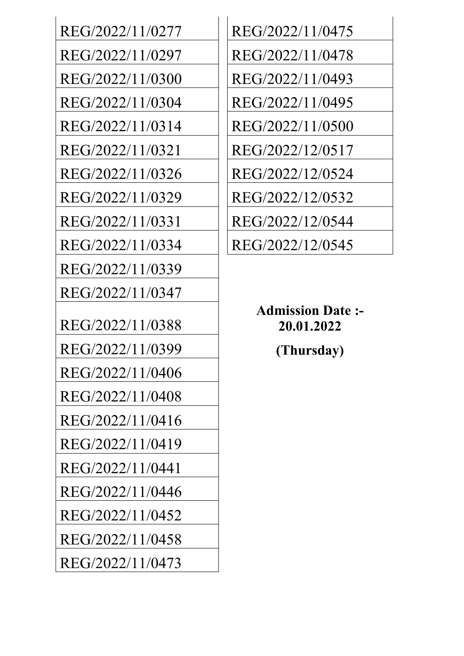| REG/2022/11/0277 | REG/2022/11/0475                    |
|------------------|-------------------------------------|
| REG/2022/11/0297 | REG/2022/11/0478                    |
| REG/2022/11/0300 | REG/2022/11/0493                    |
| REG/2022/11/0304 | REG/2022/11/0495                    |
| REG/2022/11/0314 | REG/2022/11/0500                    |
| REG/2022/11/0321 | REG/2022/12/0517                    |
| REG/2022/11/0326 | REG/2022/12/0524                    |
| REG/2022/11/0329 | REG/2022/12/0532                    |
| REG/2022/11/0331 | REG/2022/12/0544                    |
| REG/2022/11/0334 | REG/2022/12/0545                    |
| REG/2022/11/0339 |                                     |
|                  |                                     |
| REG/2022/11/0347 |                                     |
| REG/2022/11/0388 | <b>Admission Date</b><br>20.01.2022 |
| REG/2022/11/0399 | (Thursday)                          |
| REG/2022/11/0406 |                                     |
| REG/2022/11/0408 |                                     |
| REG/2022/11/0416 |                                     |
| REG/2022/11/0419 |                                     |
| REG/2022/11/0441 |                                     |
| REG/2022/11/0446 |                                     |
| REG/2022/11/0452 |                                     |
| REG/2022/11/0458 |                                     |
| REG/2022/11/0473 |                                     |

| REG/2022/11/0475 |
|------------------|
| REG/2022/11/0478 |
| REG/2022/11/0493 |
| REG/2022/11/0495 |
| REG/2022/11/0500 |
| REG/2022/12/0517 |
| REG/2022/12/0524 |
| REG/2022/12/0532 |
| REG/2022/12/0544 |
| REG/2022/12/0545 |
|                  |

**Admission Date :- 20.01.2022** REG/2022/11/0399 **(Thursday)**